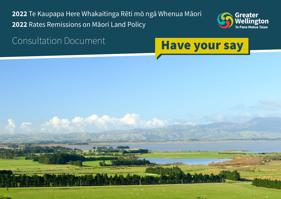Te Kaupapa Here Whakaitinga Rēti mō ngā Whenua Māori Rates Remissions on Māori Land Policy





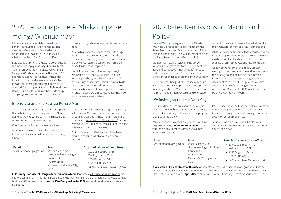# 2022 Rates Remissions on Māori Land **Policy**

Greater Wellington Regional Council (Greater Wellington) proposes to make changes to the Rates Remissions and Postponements on Māori Freehold Land Policy. This will become known as the Rates Remissions on Māori Land Policy.

Greater Wellington is reviewing the policy following changes to the Local Government Act support to owners of whenua Māori to look after the whenua for current and future generations.

2002 and Local Government (Rating) Act 2002 that took effect in July 2021, which included significant changes to the rating of whenua Māori. The proposed changes to the policy will ensure it is up to date and compliant with the legislation for rating of whenua Māori and the principles of Te Ture Whenua Māori Act 1993, and offer wider As part of the review of this policy, Greater Wellington has considered the option of retaining the existing policy and has decided instead to consult on the proposed changes in this document as these better align with Council's strategic priority of improving outcomes for mana whenua and Māori, and with Council's adopted Māori Outcomes Framework.

While this policy particularly affects Māori landowners in the Wellington region, everyone in our community may have an interest and is invited to provide a submission on the proposed changes to the policy.

## We invite you to Have Your Say

The Rates Remissions on Māori Land Policy is now open for feedback. This is your opportunity to let us know what you think about the proposed changes to the policy. If the online survey isn't for you, feel free to email us your thoughts to [whenuamaori@gw.govt.nz](mailto:whenuamāori@gw.govt.nz) (Please don't forget to let us know if you want to speak to your submission too)

You can choose how you have your say. We have prepared an easy **online submission form** that you can do on almost any device and almost anywhere you want. A submission form is also attached for your convenience, feel free to complete and return to any of the below:

#### **Email**

[whenuamaori@gw.govt.nz](mailto:whenuam%C4%81ori%40gw.govt.nz?subject=)

**Post** Whenua Māori c/o Greater Wellington Regi Council office PO Box 11646 Manners St, Wellington City, 6142

|       | Drop it off at one of our offices: |
|-------|------------------------------------|
|       | • 100 Cuba Street, Te Aro          |
| ional | Wellington City, 6011              |
|       | • 1056 Fergusson Drive             |
|       | Upper Hutt City, 5140              |

• 34 Chapel Street Masterton, 5840

- 100 Cuba Street, Te Aro Wellington City, 6011
- 1056 Fergusson Drive Upper Hutt City, 5140
- 34 Chapel Street Masterton, 5840

**If you would like a hardcopy of this document,** please email [whenuamaori@gw.govt.nz](mailto:whenuamāori@gw.govt.nz) and advise us how many copies you require and where you would like us to them to, and we will them to you ASAP. Please let us know before **23 April 2022** to allow for delivery in time for you to make your submission.

# 2022 Te Kaupapa Here Whakaitinga Rēti mō ngā Whenua Māori

E tūtohi ana a Te Pane Matua Taiao ki te panoni i te Kaupapa Here Whakaitinga Rēti me Whakatārewa hoki mō ngā Whenua Māori Herekore. Ka kīia ko Te Kaupapa Here Whakaitinga Rēti mō ngā Whenua Māori.

E arotakehia ana e Te Pane Matua Taiao te kaupapa here nei i muri i ngā panonitanga ki te Ture Local Government 2002 me te Ture Local Government (Rating) 2002 i whakamanahia i te Hōngongoi 2021, e pāngia nuitia ana ki te rēti o ngā whenua Māori. Ko ngā panonitanga ki te kaupapa here kia tika i te wā iti nei, kia hāngai hoki ki ngā ture mō te rēti whenua Māori me ngā mātāpono o Te Ture Whenua Māori 1993, me te toro āwhina whānui ki te hunga whaipānga o ngā whenua Māori kia tiakina te

whenua mō ngā whakatupuranga o te nāianei me te āpōpō.

Ahakoa ka pāngia tēnei kaupapa here ki te hunga whaipānga whenua Māori ki te rohe o Pōneke, ka whai wāhi mai ngā tāngata katoa o tō mātou hapori, ā, e pōwhiritia rātou ki te tuku whakaaro mō ēnei panonitanga ki te kaupapa here.

Hei tāpiri ki te arotake o tēnei kaupapa here, i whiriwhirihia e Te Pane Matua Taiao kia puritia tēnei kaupapa here, engari e whāia ana kia uiui haere me ngā panoni tūtohi kei tēnei pukapuka i te mea e hāngai ake ana ēnei ki te rautaki matua o te Kaunihera ki te whakatika ake i ngā hua mō te mana whenua me te Māori, tae noa ki te Rautaki Hua Māori kua whakaaetia e te Kaunihera.

## E tono atu ana ki a koe kia Kōrero Mai

Tāria ana ngā whakahoki kōrero ki Te Kaupapa Here Whakaitinga Rēti mō ngā Whenua Māori. Koinei tō wā ki te whakapā mai ki a mātou ki te whakatakoto i ō whakaaro mō ngā

tūtohinga panonitanga o te kaupapa here.

Māu e whiriwhiri me pēwhea koe e kōrero mai. Kua whakaritea e mātou tētehi puka ā-ipurangi ngāwari

e taea ana i runga i te nuinga o ngā hangarau, ā, ki hea kē atu. Mehemea kāore tēnei momo puka ā-ipurangi e pai ana ki a koe, tēnā, imēra mai ō whakaaro ki [whenuamaori@gw.govt.nz](mailto:whenuamāori@gw.govt.nz) (Kaua e wareware ki te kī mai mehemea e pīrangi ana koe ki te kōrero hoki ki tō pukapuka).

E tāpirihia ana hoki tētehi pukapuka hei mahi māu, ā, whakakīia, whakahokia ki tētehi o ēnei i raro nei:

**Email**

#### **Post**

[whenuamaori@gw.govt.nz](mailto:whenuam%C4%81ori%40gw.govt.nz?subject=) Whenua Māori c/o Greater Wellington Regional Council office PO Box 11646 Manners St, Wellington City, 6142

#### **Drop it off at one of our offices:**

**Ki te pīrangi koe ki tētehi tānga o tēnei pukapuka tonu,** tēnā, imēra [whenuamaori@gw.govt.nz](mailto:whenuamāori@gw.govt.nz) me ngā whakamārama mai kia hia ngā kape māu me te wāhi kia tukuna atu ai e mātou, ā, ka wawe tuku atu ki a koe ASAP. Whakapā mai **i mua i te 23 o Paengawhāwhā 2022** kia tae atu ki a koe ki te whakarite i tō pukapuka.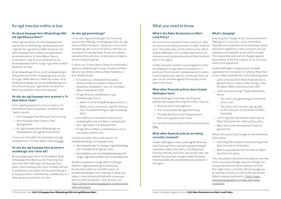## What you need to know

#### **What is the Rates Remissions on Māori Land Policy?**

#### **What other financial policies does Greater Wellington have?**

Greater Wellington has three main financial policies that support the Long Term Plan. They are:

- Revenue and Financing Policy
- The Treasury Risk Management Policy
- The Rate Remission and Postponement Policies for general land issues

All councils are required to have a policy on rates remissions and postponements on Māori freehold land. This policy sets out the criteria under which Greater Wellington will consider applications for remissions and postponements on Māori freehold land in the region. Following the changes to the Local Government (Rating) Act in July 2021, many of the Māori freehold land properties which previously would have been eligible for a rates remission are now treated as non-rateable as the land is unused. This means that rates are not charged against the property in the first instance so no remission needs to be applied for.

You can find out more about GW financial policies [here.](https://ltp.gw.govt.nz/supporting-policies/)

#### **What other financial policies are being currently reviewed?**

A rates remission is when Council agrees to waive the obligation to pay rates on a property in a particular financial year. A postponement is when Council agrees that rates for a particular financial year can accumulate against the property to be paid in the future. Greater Wellington is proposing to consider applications for remissions on whenua Māori that is not in Māori freehold title, in the following areas: • Land converted from Māori freehold title to general title by a status order change under

Greater Wellington is also reviewing the Revenue and Financing Policy. Several proposed changes have been made to the policy, including some funding methods, and some new activity rates. We believe the proposed changes makes the policy more equitable, fair, and beneficial to everyone in the region.

### **What's changing?**

- the Māori Affairs Amendment Act 1967
- Land returned through Treaty settlements, where:
	- **-** The land is not generating a commercial return; and
	- **-** The Crown had not been paying rates on the land prior to its transfer to Māori ownership
- Land in general title owned collectively by Māori that meets the criteria of the policy
- Māori land under development that is in general title

We are also proposing changes to administration of the policy:

- Extending the duration of remissions granted from one year to three years
- Removing postponement of rates on Māori land from the policy

This consultation document includes an overview of the proposed changes, why the changes are being proposed and some examples of what this might mean in practice. We encourage you to read the full policy as well as this document before making a submission: [https://www.](https://www.haveyoursay.gw.govt.nz/maori-land-rates-remissions) [haveyoursay.gw.govt.nz/maori-land-rates](https://www.haveyoursay.gw.govt.nz/maori-land-rates-remissions)[remissions](https://www.haveyoursay.gw.govt.nz/maori-land-rates-remissions)

## Ko ngā mea kia mōhio ai koe

#### **He aha te Kaupapa Here Whakaitinga Rēti mō ngā Whenua Māori?**

Katoa ngā kaunihera me whai kaupapa here e pā ana ki te whakaitinga, whakatārewa hoki i ngā rēti mō ngā whenua Māori herekore. Kei tēnei kaupapa here e takoto ana ngā paearu ka whakamahia e Te Pane Matua Taiao ki te whiriwhiri i ngā tono kia whakaitihia, kia whakatārewatia hoki ki runga i ngā whenua Māori herekore i te rohe.

Ko te whakaitinga rēti nei, ko te whakaaetanga o te Kaunihera ki te hiki i te kawenga ki te utu rēti ki runga i tētehi whenua i tētehi tau pūtea. Ko te whakatārewatanga nei, ko te whakaaetanga o te Kaunihera ki te putu i ngā nama o te whenua i tētehi tau pūtea kia utua hei te wā heke.

#### **He aha atu ngā kaupapa here arumoni o Te Pane Matua Taiao?**

E toru ngā kaupapa here arumoni matua o Te Pane Matua Taiao hei tautoko i te Mahere Pae Tawhiti. Ko ērā:

- Ko te Kaupapa Here Revenue me Financing
- Ko te Kaupapa Here Treasury Risk Management
- Ko ngā Kaupapa Here Whakaitinga me Whakatārewa mō ngā whenua whānui

E taea ana e koe ētehi atu taipitopito mō ngā kaupapa here o Te Pane Matua Taiao ki konei.

#### **He aha atu ngā kaupapa here arumoni e arotakengia ana i tēnei wā?**

Kei te arotakengia hoki e Te Pane Matua Taiao te Kaupapa Here Revenue me Financing. Kua panonitia ētehi wāhanga o te kaupapa here, pēnei i ētehi tukanga tuku moni me ētehi rēti hou. E whakapono ana mātou ko ēnei panonitanga o te kaupapa here e matatika ana, e tōkeke ana, ā, e whai painga ana te katoa i te rohe.

#### **He aha ngā panonitanga?**

I muri mai i ngā panonitanga ki te Ture Local Government (Rating) i te Hōngongoi 2021, ko ngā whenua Māori herekore i māraurau o mua mō te whakaitinga rēti, ka huri hei whenua rēti kore i te mea kāore i te whakamahia. E mea ana, kāore e namahia rēti te whenua, nā reira kāore he take ki te tono whakaitinga rēti.

E tūtohi ana Te Pane Matua Taiao ki te whiriwhiri i ngā tono whakaitinga ki runga i te whenua Māori kāore e mau taitara whenua Māori herekore, ki ēnei whakaritenga:

- Ki te whenua i whakawhiti hei taitara herekore Māori ki te taitara whānui nā te whakahau whakawhiti i raro i te Ture Māori Affairs Amendment 1967
- Ki ngā whenua i whakahokia e ngā whakataunga Tiriti; ā,
	- **-** Kāore i te whai whakahokinga arumoni; ā,
	- **-** Kāore i utua e te Karauna ngā rēti whenua i mua i te whakawhitinga ki ngā whaipānga Māori
- Ki te whenua e mau taitara whānui ana e whaipāngahia ana e te Māori e whakatutuki ana i ngā paearu o te kaupapa here
- Ki ngā whenua Māori e whakatupuria ana, e mau taitara whānui ana

E tūtohi ana hoki mātou ki te panoni i te whakahaeretanga o te kaupapa here:

- Kia whakarahi ake i te roanga o ngā whakaitinga mai i te kotahi tau ki ngā tau e toru
- Kia whakakore ake i te whakatārewatanga rēti i runga i ngā whenua Māori mai i te kaupapa here

Kei tēnei pukapuka uiuinga tētehi tirohanga whānui o ngā panonitanga e tūtohia ana, he aha hoki e pēnei ai me ētehi tauira o te whakatinanatanga o ēnei mahinga. E akiaki ana mātou i a koe kia pānuitia katoatia te kaupapa here me tēnei pukapuka i mua i tō tono mai: [https://www.haveyoursay.gw.govt.nz/maori-land](https://www.haveyoursay.gw.govt.nz/maori-land-rates-remissions)[rates-remissions](https://www.haveyoursay.gw.govt.nz/maori-land-rates-remissions)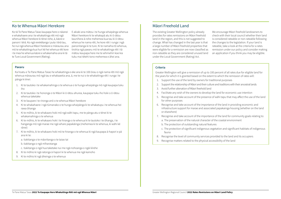## Māori Freehold Land

The existing Greater Wellington policy already provides for rates remissions on Māori freehold land in the region, and this is not suggested to change. What has changed in the last year is that a large number of Māori freehold properties that were eligible for a remission are now classified as non-rateable as they are considered unused land under the Local Government (Rating) Act. We encourage Māori freehold landowners to check with their local council whether their land is considered rateable or non-rateable following the changes to the legislation. If your land is rateable, take a look at the criteria for a rates remission under our policy and consider making an application if you think you may be eligible.

#### **Criteria**

Greater Wellington will give a remission of up to 100 percent of all rates due for eligible land for the years for which it is granted based on the extent to which the remission of rates will:

- 1. Support the use of the land by owners for traditional purposes
- 2. Support the relationship of Māori and their culture and traditions with their ancestral lands
- 3. Avoid further alienation of Māori freehold land
- 4. Facilitate any wish of the owners to develop the land for economic use intention 5. Recognise and take account of the presence of wāhi tapu that may affect the use of the land
- for other purposes
- 6. Recognise and take account of the importance of the land in providing economic and infrastructure support for marae and associated papakainga housing (whether on the land or elsewhere)
- 7. Recognise and take account of the importance of the land for community goals relating to: a. The preservation of the natural character of the coastal environment
- - b. The protection of outstanding natural features
	- c. The protection of significant indigenous vegetation and significant habitats of indigenous fauna
- 8. Recognise the level of community services provided to the land and its occupiers 9. Recognise matters related to the physical accessibility of the land
- 

## Ko te Whenua Māori Herekore

Ko tā Te Pane Matua Taiao kaupapa here o nāianei e whakahaere ana i te whakaitinga rēti mō ngā whenua Māori herekore ki tēnei rohe, ā, kāore e panoni i tērā. Ko ngā rerekētanga i puta i tērā tau, he nui ngā whenua Māori herekore e māraurau ana mō te whakaitinga kua huri kē hei whenua rēti kore i te mea he whenua kāore e whakamahia ana ki tā te Ture Local Government (Rating).

E akiaki ana mātou i te hunga whaipānga whenua Māori herekore ki te whakapā atu ki ō rātou kaunihera ā-rohe mehemea kua tau ki ō rātou whenua he nama rēti, he kore rēti i runga i ngā panonitanga ki te ture. Ki te namahia tō whenua, tirohia ngā paearu mō te whakaitinga rēti i tā mātou kaupapa here me te whiriwhiri koe kia tuku mai tētehi tono mehemea e āhei ana.

#### **Paearu**

Ka hoatu e Te Pane Matua Taiao he whakaitinga e eke ana ki te 100 ōrau o ngā nama rēti mō ngā whenua māraurau mō ngā tau e whakaaetia ana, ā, me te nui o te whakaitinga rēti i runga i te pānga ki ēnei:

- 1. Ki te tautoko i te whakamahinga o te whenua o te hunga whaipānga mō ngā kaupapa tuku iho
- 2. Ki te tautoko i te hononga o te Māori ki ō rātou ahurea, kaupapa tuku iho hoki o ō rātou whenua taketake
- 3. Ki te kaupare i te rironga anō o te whenua Māori herekore
- 4. Ki te whakahaere i ngā tūmanako o te hunga whaipānga ki te whakatupu i te whenua hei rawa ōhanga
- 5. Ki te mōhio, ki te whakaaro hoki mō ngā wāhi tapu, me te pānga atu o tēnei ki te whakamahinga o te whenua
- 6. Ki te mōhio, ki te whakaaro hoki i te hiranga o te whenua ki te tautoko i te ōhanga, i te hanganga mō ngā marae me ngā whare papakāinga (mehemea ki te whenua, ki wāhi kē rānei)
- 7. Ki te mōhio, ki te whakaaro hoki mō te hiranga o te whenua ki ngā kaupapa ā-hapori e pā ana ki te:
	- a. tiakitanga o te māoritanga o te taiao tai
	- b. tiakitanga o ngā mīharotanga
	- c. tiakitanga o ngā hua taketake nui me ngā nohoanga o ngāi kīrehe
- 8. Ki te mōhio ki ngā ratonga ā-hapori ki te whenua me ngā kainoho
- 9. Ki te mōhio ki ngā āheinga o te whenua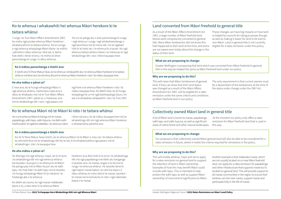## Land converted from Māori freehold to general title

As a result of the Māori Affairs Amendment Act 1967, a large number of Māori freehold land blocks were compulsorily converted to general title. Many Māori landowners did not know this had happened to their land at the time, and some are not aware even today about the change in the status of their land. These changes can have big impacts on how land is treated by councils for rating purposes though, as well as making it easier for land to be sold to non-Māori. Land in general title is not currently eligible for a rates remission under this policy.

#### **What we are proposing to change:**

Greater Wellington is proposing that land which was converted from Māori freehold to general title in this way be treated the same as Māori freehold land under our policy

#### **Why are we proposing to do this?**

This will mean that Māori landowners of general land, if they can show that their land status was changed as a result of the Māori Affairs Amendment Act 1967, will be eligible for a rates remission under the same criteria and conditions as Māori freehold land in our policy. The only requirement is that current owners must be a descendant of the landowners at the time of the status order change under the 1967 Act.

## Collectively owned Māori land in general title

A lot of Māori land is home to marae, papakāinga, wāhi tapu and wāhi tupuna, as well as significant areas of native forest and other natural landscapes. At the moment our policy only offers a rates remission for Māori freehold land that is used in this way.

#### **What we are proposing to change:**

Our proposal is that collectively owned Māori general land will also be able to be considered for a rates remission in future, where it meets the criteria required for remissions in the policy.

#### **Why are we proposing to do this?**

This will enable whānau, hapū and iwi to apply for a rates remission on general land to support the retention of land in Māori ownership. Examples of how this may benefit Māori could include wāhi tapu. This is intended to help protect the wāhi tapu as well as support Māori ownership of more land of significance to Māori. Another example is that mātāwaka marae, which are not usually located on or near Māori freehold land, can apply for a rates remission for papakāinga and other infrastructure that supports marae but is located on general land. This will provide support to all marae communities in the region to ensure their whānau can live near marae, support marae and participate fully in the life of marae.

## Ko te whenua i whakawhiti hei whenua Māori herekore ki te

### taitara whānui

I runga i te Ture Māori Affairs Amendment 1967, he maha ngā poraka whenua Māori herekore i whakaturehia ki te taitara whānui. Ko te nuinga o ngā whenua whaipānga Māori kāore i te mōhio i pēneitia ō rātou whenua i tērā wā, ā, kāore hoki ētehi i tēnei rā tonu i te mōhio ki tēnei panonitanga ki runga i ō rātou whenua.

 Ka nui te pānga atu o ēnei panonitanga ki runga i ngā whenua i runga i ngā whakahaeretanga o ngā kaunihera mō te nama rēti, me te ngāwari hoki ki te hoko atu i te whenua ki a tauiwi. Ko ngā whenua taitara whānui kāore i te māraurau ki ngā whakaitinga rēti i raro i tēnei kaupapa here.

#### **Ko ā mātou panonitanga e tūtohi ana:**

E tūtohi ana Te Pane Matua Taiao, ko te whenua i whakawhiti atu i te whenua Māori herekore ki te taitara whānui mā tēnei ara, kia rite tōna āhua ki te whenua Māori herekore i raro i tā mātou kaupapa here.

#### **He aha mātou e pēnei ai?**

E mea ana, ko te hunga whaipānga Māori o ngā whenua whānui, mehemea e taea ana e rātou te whakaatu mai nā te Ture Māori Affairs Amendment 1967 i pēnei ai, e māraurau ana mō te whakaitinga rēti i raro i ngā paearu me

ngā here o te whenua Māori herekore i roto i tā mātou kaupapa here. Ko tētehi here, ko te hunga whaipānga he uri nō ngā kaiwhaipānga tūturu i te wā o te whakahau whakawhiti i raro i te Ture 1967.

## Ko te whenua Māori nō te Māori ki roto i te taitara whānui

He nui te whenua Māori te kāinga mō te marae, papakāinga, wāhi tapu, wāhi tūpuna, me ētehi wāhi hirahira pērā i te ngahere taketake, i te whenua māori. I tēnei wā tonu, ko tā mātou kaupapa here mō te whakaitinga rēti mō ngā whenua Māori herekore e whakamahia pēneitia ana.

#### **Ko ā mātou panonitanga e tūtohi ana:**

Ko tā Te Pane Matua Taiao tūtohi, ko te whenua Māori nō te Māori e mau nei i te taitara whānui ka whiriwhirihia mō te whakaitinga rēti hei te wā, ki te whakatutukihia ngā paearu mō te whakaitinga i roto i te kaupapa here.

#### **He aha mātou e pēnei ai?**

He āheinga mō ngā whānau, hapū, iwi ki te tono i te whakaitinga rēti mō ngā whenua whānui kia tautoko i te pupuri o te whenua ki te Māori. He painga pea mō te Māori ka piri atu te wāhi tapu. He mea tiaki i te wāhi tapu me te tautoko i te hunga whaipānga Māori ki te mārama i te hiratanga ake o te whenua.

Ko tētehi atu tauira, ko ngā marae mātāwaka kāore e tū, e tata rānei ki te whenua Māori

herekore, kua āhei hoki ki te tono i te whakaitinga rēti mō ngā papakāinga me ētehi atu hanganga e tautoko ana i te marae, engari e tū kē ana ki runga i te whenua whānui. He tautoko tēnei ki ngā hapori marae katoa i te rohe kia taea e ō rātou whānau te noho tata ki te marae, tautoko i te marae me te kuhukuhu ki roto i ngā nekeneke katoa o te marae.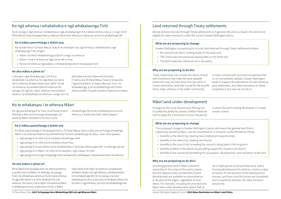## Land returned through Treaty settlements

Almost all land returned through Treaty settlements is in general title and as a result, this land is not eligible for rates remissions under the current Greater Wellington policy.

#### **What we are proposing to change:**

Greater Wellington is proposing to include land returned through Treaty settlements where: • No commercial return is being made on the land; and • The Crown was not previously paying rates on the land; and

- 
- 
- The land meets the criteria set out in the policy

#### **Why are we proposing to do this**

Treaty settlements can include the return of land with conditions that make the land rateable where this may not have been the case while in Crown ownership, land that is used for the benefit of iwi, hapū, whānau or the wider community, or return of land with commercial potential that is not immediately realised. Greater Wellington looks to support the aspirations of mana whenua post-settlement, and rates remissions on these properties is one way we can do so.

## Māori land under development

Changes to the Local Government (Rating) Act included the ability for owners of Māori freehold land to apply for a remission to cover the period in which the land is being developed, if it meets certain criteria.

#### **What we are proposing to change**

This proposed change to Greater Wellington's policy will mean that general land that is collectively owned by Māori, can be considered for a remission under the below criteria: • benefits to the district by creating new employment opportunities

- 
- benefits to the district by creating new homes
- benefits to the council by increasing the council's rating base in the long term
- benefits to Māori in the district by providing support for marae in the district
- benefits to the owners by facilitating the occupation, development, and utilisation of the land

#### **Why are we proposing to do this?**

Including general land in Māori collective ownership in the scope of the policy means that the opportunities and benefits of land development are available to mana whenua in all parts of the region, regardless of land status. For example, including the provisions for Māori land under development means that an iwi or hapū group could purchase land, lead a housing development for whānau, receive a rates remission for the duration of the development process, and then once the homes are completed and occupied by whānau, the rates remission would end.

## Ko ngā whenua i whakahokia e ngā whakataunga Tiriti

Ko te nuinga o ngā whenua i whakahokia e ngā whakataunga Tiriti e taitara whānui ana, ā, i runga i tā Te Pane Matua Taiao kaupapa here o nāianei, kāore ēnei whenua e māraurau ana ki te whakaitinga rēti.

### **Ko ā mātou panonitanga e tūtohi ana:**

Kei te kōkirihia e Te Pane Matua Taiao ki te whakapiri atu ngā whenua i whakahokia e ngā whakataunga Tiriti, engari:

- Kāore i te whai whakahokinga pūtea ki runga i te whenua
- Kāore i utua e te Karauna ngā nama rēti o mua
- Ka ea e te whenua ngā paearu e whakarārangi ana ki te kaupapa here

**He aha mātou e pēnei ai?**

I roto pea i ngā whakataunga Tiriti ko te whakahoki i te whenua me ngā here; ka nama rēti te whenua ahakoa kāore pea i pērā i te wā i te Karauna, ka whakamahia te whenua hei painga mō ngā iwi, hapū, whānau me te hapori whānui, ka whakahokia te whenua i runga anō i te

pitomata arumoni kāore anō kia puta. E hiahia ana Te Pane Matua Taiao ki te tautoko i ngā tūmanako o te mana whenua i muri i te whakataunga, ā, ko te whakaitinga rēti ki ēnei whenua tētehi huarahi tautoko e taea ana e mātou.

## Ko te whakatupu i te whenua Māori

Ko ngā panonitanga ki te Ture Local Government (Rating) e āhei ana te hunga whaipānga o te whenua Māori herekore ki te tono mō te

whakaitinga mō te wā e whakatupuria ana te whenua, e tutuki ana hoki i ētehi paearu.

#### **Ko ā mātou panonitanga e tūtohi ana**

Ko tēnei panonitanga ki te kaupapa here o Te Pane Matua Taiao e āhei ana te hunga whaipānga Māori o te whenua whānui kia whiriwhirihia he tono whakaitinga nā rātou i raro i ēnei paearu:

- ngā painga ki te rohe mā te whakatū whiwhinga mahi
- ngā painga ki te rohe mā te whakatū whare hou
- ngā painga ki te kaunihera mā te whakawhānui i tā te kaunihera papa rēti i te takanga wā roa
- ngā painga ki te Māori i te rohe mā te tautoko i ngā marae i te rohe
- ngā painga ki te hunga whaipānga mā te whakanoho, whakatupu, whakamahi hoki o te whenua

#### **He aha mātou e pēnei ai?**

Mā te tāpiri ki te kaupapa here i te whenua whānui e puritia ana e te Māori, he āheinga, he painga hoki o te whakatupu whenua mō te mana whenua ki ngā wāhi katoa o te rohe, ahakoa te tū a te whenua. Hei tauira, mā te tāpiri o te whenua Māori e whakatupuria ana, e taea ana e te iwi, e tētehi

hapū rānei ki te hoko i te whenua, whakahaere whakatū whare mō ngā whānau, whakawhiwhia ki te whakaitinga rēti mō te roanga o te wā e whakatupuria ana, ā, ka mutu te whakatū whare me te noho o ngā whānau, ka mutu te whakaitinga rēti.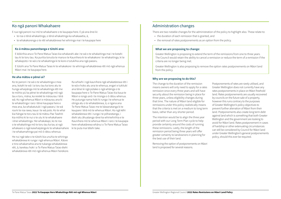## Administration changes

There are two notable changes for the administration of the policy to highlight also. These relate to: • the duration of each remission that is granted, and

- 
- the removal of rates postponements as an option from the policy.

#### **What we are proposing to change:**

Greater Wellington is proposing to extend the term of the remissions from one to three years. The Council would retain the ability to cancel a remission or reduce the term of a remission if the criteria are no longer being met.

Greater Wellington is also proposing to remove the option rates postponements on Māori land from the policy.

#### **Why are we proposing to do this?**

The change to the duration of the remission means owners will only need to apply for a rates remission once every three years and will have security about the remission being in place for three years, unless eligibility changes during that time. The nature of Māori land eligible for remissions under this policy realistically means that the criteria is met on a medium to long term basis, rather than any shorter period.

The intention would be to align the three year period with our Long Term Plan cycle to help provide certainty around the costs of running these remissions. Lastly, the length of the remission period being three years will offer greater certainty to landowners in planning for the best use of their land.

Removing the option of postponements on Māori land is proposed for several reasons.

Postponements of rates are rarely utilised, and Greater Wellington does not currently have any rates postponements in place on Māori freehold land. Rates postponements are usually recovered by councils on the future sale of a property, however this runs contrary to the purposes of Greater Wellington's policy objectives to prevent further alienation of Māori from their land. Postponements also create long term debt against land which is something that both Greater Wellington and the government are looking to avoid for Māori land. Rates postponement in cases of hardship or other extenuating circumstances can still be considered by Council for Māori land under Greater Wellington's general postponements policy, should this ever be required.

## Ko ngā panoni Whakahaere

E rua ngā panoni nui mō te whakahaere o te kaupapa here. E pā ana ēnei ki:

- te roa o tēnā whakaitinga, o tēnā whakaitinga ka whakaaetia, ā,
- te whakakorenga o te rēti whakatārewa hei whiringa mai i te kaupapa here

#### **Ko ā mātou panonitanga e tūtohi ana:**

E kōkirihia ana e Te Pane Matua Taiao kia whakarahi ake i te wā o te whakaitinga mai i te kotahi tau ki te toru tau. Ka puritia tonutia te mana e te Kaunihera ki te whakakore i te whakaitinga, ki te whakapoto i te wā o te whakaitinga ki te kore e tutukihia ana ngā paearu.

E tūtohi ana Te Pane Matua Taiao ki te whakakore i te whiringa whakatārewa rēti mō ngā whenua Māori mai i te kaupapa here.

#### **He aha mātou e pēnei ai?**

Ko te panoni i te wā o te whakaitinga e mea ana, kotahi te wā i ia toru tau ka tono atu te hunga whaipānga mō te whakaitinga rēti me te mōhio pū ka pēnei te whakaitinga mō ngā tau e toru, māna, ka rerekē te māraurau i tērā wā. Ko ngā whenua Māori e māraurau ana ki te whakaitinga i raro i tēnei kaupapa here e mea ana, ka whakatutuki i ngā paearu i te wā roa ki te roa rawa, kaua i te wā poto. Ko te whai kia hāngai te toru tau ki tā mātou Pae Tawhiti kia mōhio ki te nui o te utu ki te whakahaere i ēnei whakaitinga. Hei whakakapi, ko te roa o te whakaitinga mō te toru tau ka tau ai ngā whakaaro o ngā kaiwhaipānga ki te whakamahere i te whakamahinga pai mō ō rātou whenua.

He nui ngā take o te tūtohi kia unuhia te whiringa whakatārewa ki runga i ngā whenua Māori. Kāore e tino whakamahia ana te tukanga whakatārewa rēti, ā, karekau hoki i a Te Pane Matua Taiao ētehi whakatārewa rēti mō ngā whenua Māori herekore.

Ka whiwhi i ngā kaunihera ngā whakatārewa rēti i te wā e hoko atu ana te whenua, engari e tukituki ana tēnei ki ngā pūtake o ngā whāinga o te kaupapa here o Te Pane Matua Taiao kia kaua te Māori e rongo anō i te rironga o ō rātou whenua. He putunga nama hoki ki runga i te whenua te otinga atu o te whakatārewa, ā, e ngana ana Te Pane Matua Taiao me te kāwanatanga ki te kaupare i tērā mō te whenua Māori. Ko ngā kēhi whakatārewa rēti i runga i te pōharatanga, i ētehi atu āhuatanga rānei ka whiriwhirihia e te Kaunihera mō te whenua Māori i raro i te kaupapa here whakatārewa whānui o Te Pane Matua Taiao ki te puta mai tētehi take.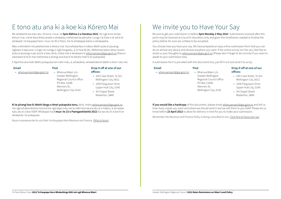Be sure to get your submission in before **5pm Monday 2 May 2022**. Submissions received after this point may be received at Council's discretion only and given the timeframes needed to finalise the policy before 30 June are unlikely to be accepted.

You choose how you have your say. We have prepared an easy online submission form that you can do on almost any device and almost anywhere you want. If the online survey isn't for you, feel free to email us your thoughts to [whenuamaori@gw.govt.nz](mailto:whenuamāori@gw.govt.nz) (Please don't forget to let us know if you want to speak to your submission too).

A submission form is provided with this document too, just fill it out and send it to us by:

#### **Email**

- **Post**
- [whenuamaori@gw.govt.nz](mailto:whenuam%C4%81ori%40gw.govt.nz?subject=)
- Whenua Māori c/o Greater Wellington Regional Council office PO Box 11646 Manners St, Wellington City, 6142
- **Drop it off at one of our offices:**
- 100 Cuba Street, Te Aro Wellington City, 6011
- 1056 Fergusson Drive Upper Hutt City, 5140
- 34 Chapel Street Masterton, 5840

**If you would like a hardcopy** of this document, please email [whenuamaori@gw.govt.nz](mailto:whenuamāori@gw.govt.nz) and tell us how many copies you want and where we should send it and we will them to you ASAP. Please let us know before **23 April 2022** to allow for delivery in time for you to make your submission.

*Remember the Revenue and Finance Policy is being consulted on too. [Click here to have your say](http://www.haveyoursay.gw.govt.nz/revenue-and-financing-policy)*

## E tono atu ana ki a koe kia Kōrero Mai

Me whakarite kia tuku atu i tō tono i mua i te **5pm Rāhina 2 o Haratua 2022**. Ko ngā tono ka tae tōmuri mai, mā te Kaunihera anake e whakatau mehemea ka pānuitia i runga i te here o te wā ki te whakaoti i te kaupapa here i mua i te 30 o Pipiri, me te whakapae kāore e whakaaetia.

Māu e whiriwhiri me pēwhea koe e kōrero mai. Kua whakaritea e mātou tētehi puka ā-ipurangi ngāwari e taea ana i runga i te nuinga o ngā hangarau, ā, ki hea kē atu. Mehemea kāore tēnei momo puka ā-ipurangi e pai ana ki a koe, tēnā, imēra mai ō whakaaro ki [whenuamaori@gw.govt.nz](mailto:whenuamāori@gw.govt.nz) (Kaua e wareware ki te kī mai mehemea e pīrangi ana koe ki te kōrero hoki ki tō pukapuka).

E tāpirihia ana hoki tētehi pukapuka hei mahi māu, ā, whakakīia, whakahokia ki tētehi o ēnei i raro nei:

#### **Email**

• [whenuamaori@gw.govt.nz](mailto:whenuam%C4%81ori%40gw.govt.nz?subject=)

#### **Post**

• Whenua Māori c/o Greater Wellington Regional Council office

PO Box 11646 Manners St,

Wellington City, 6142

#### **Drop it off at one of our offices:**

- 100 Cuba Street, Te Aro Wellington City, 6011
- 1056 Fergusson Drive Upper Hutt City, 5140
- 34 Chapel Street Masterton, 5840

**Ki te pīrangi koe ki tētehi tānga o tēnei pukapuka tonu,** tēnā, imēra [whenuamaori@gw.govt.nz](mailto:whenuamāori@gw.govt.nz) me ngā whakamārama mai kia hia ngā kape māu me te wāhi kia tukuna atu ai e mātou, ā, ka wawe tuku atu ki a koe ASAP. Whakapā mai **i mua i te 23 o Paengawhāwhā 2022** kia tae atu ki a koe ki te whakarite i tō pukapuka.

*Kaua e wareware kei te uiui hoki i te Kaupapa Here Revenue me Finance. [Pēhia ki konei](http://www.haveyoursay.gw.govt.nz/revenue-and-financing-policy)*

## We invite you to Have Your Say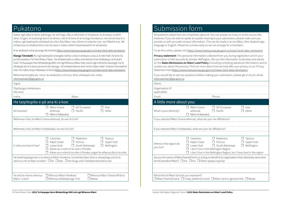## Submission form

All questions asked here are completely optional. You can answer as many or as few as you like. However, if you do wish to speak at a public hearing to your submission, please make sure you provide us with accurate contact information. This can be made in te reo Māori, New Zealand sign language or English. Please let us know early so we can arrange for a translator.

To do this online, please visit<https://www.haveyoursay.gw.govt.nz/maori-land-rates-remissions>

If you would like to ask any questions before making [whenuamaori@gw.govt.nz](mailto:whenuamāori@gw.govt.nz)

**Privacy statement:** The personal information collected from you during registration and in your submission is held securely by Greater Wellington. We use this information to develop and advise on the **Rates Remissions on Māori Land Policy** (including compiling statistical information) and to contact you about the process. Find out more about how we look after your privacy in our Privacy Statement here[:https://www.haveyoursay.gw.govt.nz/maori-land-rates-remissions](https://www.haveyoursay.gw.govt.nz/maori-land-rates-remissions)

| Name:                                                                                                                                                                         |                                            |                                                                                                                                                                               |                                     |
|-------------------------------------------------------------------------------------------------------------------------------------------------------------------------------|--------------------------------------------|-------------------------------------------------------------------------------------------------------------------------------------------------------------------------------|-------------------------------------|
| Organisation (if<br>applicable):                                                                                                                                              |                                            |                                                                                                                                                                               |                                     |
| Email:                                                                                                                                                                        |                                            | Phone:                                                                                                                                                                        |                                     |
| A little more about you:                                                                                                                                                      |                                            |                                                                                                                                                                               |                                     |
| What is your ethnicity?                                                                                                                                                       | Māori (mana<br>whenua)<br>Māori (mātāwaka) | NZ European<br>Pacific                                                                                                                                                        | Asia<br>Other                       |
| If you selected Māori (mana whenua), what are your iwi affiliations?                                                                                                          |                                            |                                                                                                                                                                               |                                     |
|                                                                                                                                                                               |                                            |                                                                                                                                                                               |                                     |
| If you selected Māori (mātāwaka), what are your iwi affiliations?                                                                                                             |                                            |                                                                                                                                                                               |                                     |
|                                                                                                                                                                               |                                            |                                                                                                                                                                               |                                     |
| Where in the region do<br>you live?                                                                                                                                           | Carterton<br>Kāpiti Coast<br>Lower Hutt    | $\Box$ Masterton<br>$\Box$ Porirua<br>$\Box$ South Wairarapa<br>I don't live in the Wellington Region<br>I don't live in the Wellington Region, but I have land in the region | Tararua<br>Upper Hutt<br>Wellington |
| Are you the owner of Māori freehold land, or acting on behalf of an organisation that collectively owns land<br>for the benefit of Māori? □ Yes □ No □ Other (please specify) |                                            |                                                                                                                                                                               |                                     |
|                                                                                                                                                                               |                                            |                                                                                                                                                                               |                                     |
|                                                                                                                                                                               |                                            |                                                                                                                                                                               |                                     |
| What kind of Māori land do you represent?<br>$\Box$ Māori freehold land $\Box$ Treaty settlement land $\Box$ Māori land in general title $\Box$ Marae                         |                                            |                                                                                                                                                                               |                                     |

## Pukatono

Katoa ngā pātai ki tēnei wāhanga, he whiringa. Māu e whiriwhiri ō whakautu ki te katoa, ki ētehi rānei. Engari, ki te pīrangi koe ki te kōrero mai ki tō tono ki te huinga tūmatanui, me homai koa ki a mātou ngā taipitopito whakapā atu tika. Reo Māori mai, kōrero ā-rotarota mai, reo Pākehā mai. Me mōata koa te whakamōhio mai kia taea e mātou tētehi kaiwhakawhiti te whakarite.

Ki te whakaoti mā te ipurangi, tēnā tirohia<https://www.haveyoursay.gw.govt.nz/maori-land-rates-remissions>

**Kīanga Tūmataiti:** Ko ngā taipitopito ā-tangata i kohia i a koe e whakauru ana, ā, ki roto hoki i tō tono ka puritia rawatia e Te Pane Matua Taiao. Ka whakamahia e mātou ēnei kōrero ki te whakatupu, ki te ārahi hoki i Te Kaupapa Here Whakaitinga Rēti mō ngā Whenua Māori (tae noa ki ngā mōhiohio tauanga) me te whakapā atu ki a koe e pā ana ki te tukanga. He whakamārama anō mō tō mātou tiaki i ō kōrero tūmataiti ki roto i tō mātou Kupu Matatapu ki konei[:https://www.haveyoursay.gw.govt.nz/maori-land-rates-remissions](https://www.haveyoursay.gw.govt.nz/maori-land-rates-remissions)

Mehemea he pātai āu i mua i te whakarite o tō tono, tēnā, whakapā mai, imēra [whenuamaori@gw.govt.nz](mailto:whenuamāori@gw.govt.nz)

| <u>witchdamaon@gw.gov</u>                                                                                                                                                   |                                                             |                                                              |                                                                      |
|-----------------------------------------------------------------------------------------------------------------------------------------------------------------------------|-------------------------------------------------------------|--------------------------------------------------------------|----------------------------------------------------------------------|
| Ingoa:                                                                                                                                                                      |                                                             |                                                              |                                                                      |
| Tōpūtanga (mehemea e                                                                                                                                                        |                                                             |                                                              |                                                                      |
| tika ana):                                                                                                                                                                  |                                                             |                                                              |                                                                      |
| Imēra:                                                                                                                                                                      |                                                             | Waea:                                                        |                                                                      |
| He taipitopito e pā ana ki a koe:                                                                                                                                           |                                                             |                                                              |                                                                      |
| Nō hea koe?                                                                                                                                                                 | Māori (mana<br>whenua)<br>Māori (mātāwaka)                  | NZ European<br>Pacific                                       | Asia<br>Other                                                        |
| Mehemea i kīia, he Māori (mana whenua), ko wai rā ō iwi?                                                                                                                    |                                                             |                                                              |                                                                      |
|                                                                                                                                                                             |                                                             |                                                              |                                                                      |
| Mehemea i kīja, he Māori (mātāwaka), ko wai rā ō iwi?                                                                                                                       |                                                             |                                                              |                                                                      |
|                                                                                                                                                                             |                                                             |                                                              |                                                                      |
| E noho ana koe ki hea?                                                                                                                                                      | Carterton<br>Kāpiti Coast<br>Lower Hutt                     | Masterton<br>$\Box$<br>Porirua<br>South Wairarapa<br>$\perp$ | Tararua<br>Upper Hutt<br>Wellington                                  |
|                                                                                                                                                                             |                                                             | Kãore au e noho ki te rohe o Pōneke                          | Kāore au e noho ki te rohe o Pōneke, engari he whenua ōku ki te rohe |
| He kaiwhaipānga koe o te whenua Māori herekore, he kaitiaki tōpū rānei e whaipānga ana ki te<br>whenua mō te Māori te take? □ Āe □ Kāo □ He tūnga anō? (whakamāramatia mai) |                                                             |                                                              |                                                                      |
|                                                                                                                                                                             |                                                             |                                                              |                                                                      |
| He aha te momo whenua<br>Māori i a koe?                                                                                                                                     | □ Whenua Māori Herekore<br>$\Box$ Whenua whakataunga Tiriti | Marae                                                        | □ Whenua Māori Taitara Whānui                                        |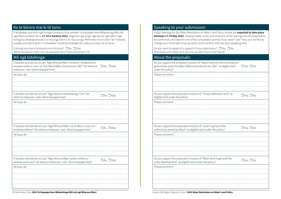Te Pane Matua Taiao **2022 Te Kaupapa Here Whakaitinga Rēti mō ngā Whenua Māori** Greater Wellington Regional Council **2022 Rates Remissions on Māori Land Policy**

|  | Speaking to your submission: |  |
|--|------------------------------|--|

Public hearings for the Rates Remissions on Māori Land Policy review are **expected to take place between 17-19 May 2022**, however dates, times and locations of the hearings are not expected to be confirmed until near the end of the consultation period. If you select "yes" now, you are free to change your mind later once we reach out to confirm with you your speaking time.

❒ Yes ❒ No

Do you want to speak to in support of your submission? ❒ Yes ❒ No *(If no boxes are ticked, we'll assume you don't want to be heard)* About the proposals: Do you support the proposed inclusion of "Māori freehold land converted to general title under the Māori Affairs Amendment Act 1967" as eligible land under the policy? Please comment: Do you support the proposed inclusion of "Treaty settlement land" as bo you support the proposed inclusion of the aty settlement land as  $\Box$  Yes  $\Box$  No eligible land under the policy? Please comment: Do you support the proposed inclusion of "Land in general title  $\Box$  Yes  $\Box$  No collectively owned by Māori" as eligible land under the policy? Please comment: Do you support the proposed inclusion of "Māori land in general title Do you support the proposed inclusion of Maon tand in general title  $\Box$  Yes  $\Box$  No under development" as eligible land under the policy? Please comment:

E tautoko ana koe kia uru atu "Ngā whenua whakataunga Tiriti" hei U tautoko ana koe kia uru atu livga wilenua wilakataunga 11110. Hereala → □ Āe □ Kāo

### Ko te kōrero mai ki tō tono:

E whakapae ana ka tū ngā huinga tūmatanui ki te arotake i te Kaupapa Here Whakaitinga Rēti mō ngā Whenua Māori hei te **17-19 o Haratua 2022**, engari ko ngā rangi, ngā wā me ngā wāhi o ngā huinga ka whakapūmautia i te mutunga haere o te wā uiuinga. Mehemea e kī ana koe "āe" ināianei, e wātea ana koe ki te tīni i ō whakaaro i te wā ka whakapā atu mātou ki a koe mō tō wā tū.

E pīrangi ana koe ki te kōrero mai ki tō tono? ❒ Āe ❒ Kāo *(Mehemea kāore e tohu mai, ka whakaarotia e mātou kāore koe e tū)*

### Mō ngā tūtohinga:

E tautoko ana koe kia uru atu "Ngā Whenua Māori Herekore i whakawhiti ki te taitara whānui i raro i te Ture Māori Affairs Amendment 1967" hei whenua □ Āe Kāo māraurau i raro i tēnei kaupapa here?

He kupu āu:

He kupu āu:

E tautoko ana koe kia uru atu "Ngā Whenua Māori nō te Māori e mau nei i te taitara whānui" hei whenua māraurau i raro i tēnei kaupapa here? ❒ Āe ❒ Kāo

He kupu āu:

E tautoko ana koe kia uru atu "Ngā whenua Māori taitara whānui e whakatupuria ana" hei whenua māraurau i raro i tēnei kaupapa here? ❒ Āe ❒ Kāo

He kupu āu: